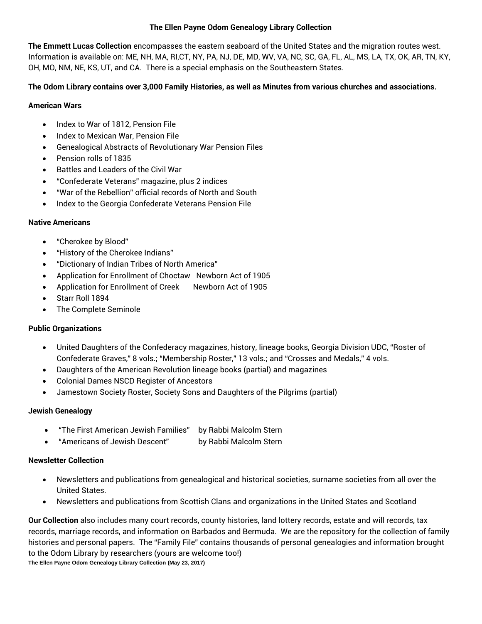#### **The Ellen Payne Odom Genealogy Library Collection**

**The Emmett Lucas Collection** encompasses the eastern seaboard of the United States and the migration routes west. Information is available on: ME, NH, MA, RI,CT, NY, PA, NJ, DE, MD, WV, VA, NC, SC, GA, FL, AL, MS, LA, TX, OK, AR, TN, KY, OH, MO, NM, NE, KS, UT, and CA. There is a special emphasis on the Southeastern States.

### **The Odom Library contains over 3,000 Family Histories, as well as Minutes from various churches and associations.**

### **American Wars**

- Index to War of 1812, Pension File
- Index to Mexican War, Pension File
- Genealogical Abstracts of Revolutionary War Pension Files
- Pension rolls of 1835
- Battles and Leaders of the Civil War
- "Confederate Veterans" magazine, plus 2 indices
- "War of the Rebellion" official records of North and South
- Index to the Georgia Confederate Veterans Pension File

## **Native Americans**

- "Cherokee by Blood"
- "History of the Cherokee Indians"
- "Dictionary of Indian Tribes of North America"
- Application for Enrollment of Choctaw Newborn Act of 1905
- Application for Enrollment of Creek Newborn Act of 1905
- Starr Roll 1894
- The Complete Seminole

# **Public Organizations**

- United Daughters of the Confederacy magazines, history, lineage books, Georgia Division UDC, "Roster of Confederate Graves," 8 vols.; "Membership Roster," 13 vols.; and "Crosses and Medals," 4 vols.
- Daughters of the American Revolution lineage books (partial) and magazines
- Colonial Dames NSCD Register of Ancestors
- Jamestown Society Roster, Society Sons and Daughters of the Pilgrims (partial)

# **Jewish Genealogy**

- "The First American Jewish Families" by Rabbi Malcolm Stern
- "Americans of Jewish Descent" by Rabbi Malcolm Stern

# **Newsletter Collection**

- Newsletters and publications from genealogical and historical societies, surname societies from all over the United States.
- Newsletters and publications from Scottish Clans and organizations in the United States and Scotland

**Our Collection** also includes many court records, county histories, land lottery records, estate and will records, tax records, marriage records, and information on Barbados and Bermuda. We are the repository for the collection of family histories and personal papers. The "Family File" contains thousands of personal genealogies and information brought to the Odom Library by researchers (yours are welcome too!)

**The Ellen Payne Odom Genealogy Library Collection (May 23, 2017)**